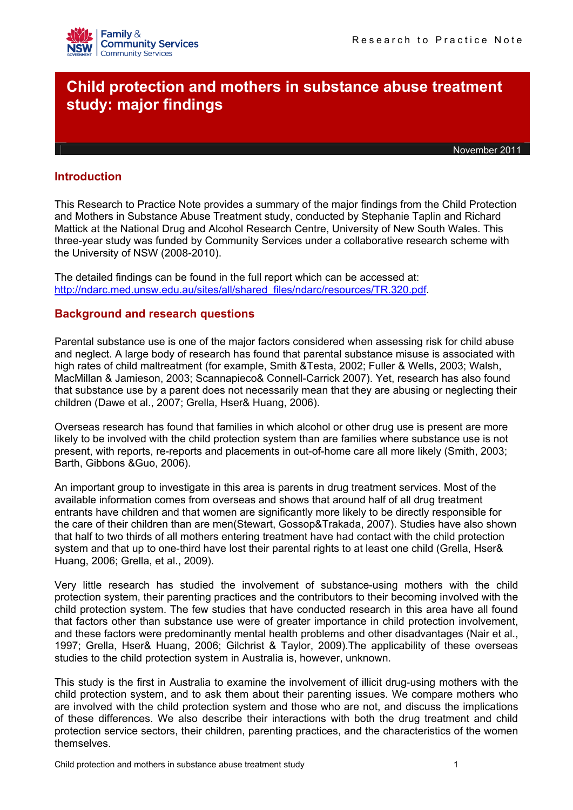

# **Child protection and mothers in substance abuse treatment study: major findings**

November 2011

# **Introduction**

This Research to Practice Note provides a summary of the major findings from the Child Protection and Mothers in Substance Abuse Treatment study, conducted by Stephanie Taplin and Richard Mattick at the National Drug and Alcohol Research Centre, University of New South Wales. This three-year study was funded by Community Services under a collaborative research scheme with the University of NSW (2008-2010).

The detailed findings can be found in the full report which can be accessed at: [http://ndarc.med.unsw.edu.au/sites/all/shared\\_files/ndarc/resources/TR.320.pdf](http://ndarc.med.unsw.edu.au/sites/all/shared_files/ndarc/resources/TR.320.pdf).

# **Background and research questions**

Parental substance use is one of the major factors considered when assessing risk for child abuse and neglect. A large body of research has found that parental substance misuse is associated with high rates of child maltreatment (for example, Smith &Testa, 2002; Fuller & Wells, 2003; Walsh, MacMillan & Jamieson, 2003; Scannapieco& Connell-Carrick 2007). Yet, research has also found that substance use by a parent does not necessarily mean that they are abusing or neglecting their children (Dawe et al., 2007; Grella, Hser& Huang, 2006).

Overseas research has found that families in which alcohol or other drug use is present are more likely to be involved with the child protection system than are families where substance use is not present, with reports, re-reports and placements in out-of-home care all more likely (Smith, 2003; Barth, Gibbons &Guo, 2006).

An important group to investigate in this area is parents in drug treatment services. Most of the available information comes from overseas and shows that around half of all drug treatment entrants have children and that women are significantly more likely to be directly responsible for the care of their children than are men(Stewart, Gossop&Trakada, 2007). Studies have also shown that half to two thirds of all mothers entering treatment have had contact with the child protection system and that up to one-third have lost their parental rights to at least one child (Grella, Hser& Huang, 2006; Grella, et al., 2009).

Very little research has studied the involvement of substance-using mothers with the child protection system, their parenting practices and the contributors to their becoming involved with the child protection system. The few studies that have conducted research in this area have all found that factors other than substance use were of greater importance in child protection involvement, and these factors were predominantly mental health problems and other disadvantages (Nair et al., 1997; Grella, Hser& Huang, 2006; Gilchrist & Taylor, 2009).The applicability of these overseas studies to the child protection system in Australia is, however, unknown.

This study is the first in Australia to examine the involvement of illicit drug-using mothers with the child protection system, and to ask them about their parenting issues. We compare mothers who are involved with the child protection system and those who are not, and discuss the implications of these differences. We also describe their interactions with both the drug treatment and child protection service sectors, their children, parenting practices, and the characteristics of the women themselves.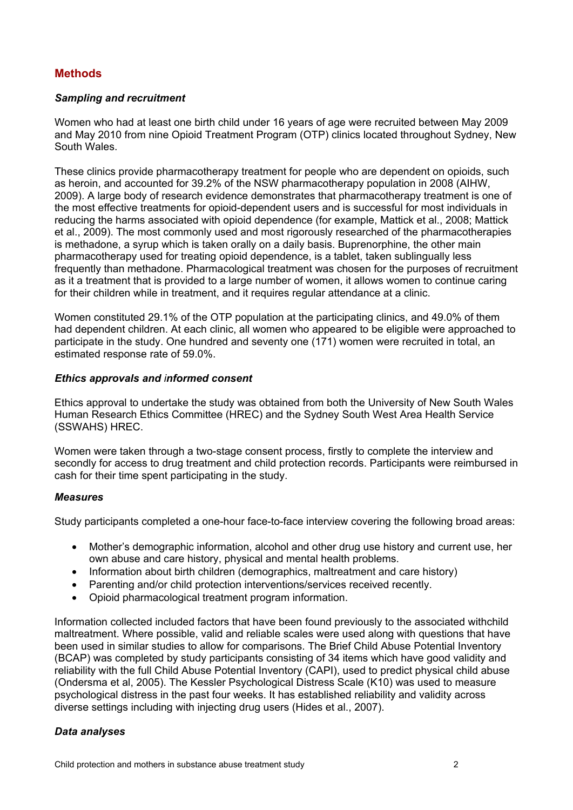# **Methods**

## *Sampling and recruitment*

Women who had at least one birth child under 16 years of age were recruited between May 2009 and May 2010 from nine Opioid Treatment Program (OTP) clinics located throughout Sydney, New South Wales.

These clinics provide pharmacotherapy treatment for people who are dependent on opioids, such as heroin, and accounted for 39.2% of the NSW pharmacotherapy population in 2008 (AIHW, 2009). A large body of research evidence demonstrates that pharmacotherapy treatment is one of the most effective treatments for opioid-dependent users and is successful for most individuals in reducing the harms associated with opioid dependence (for example, Mattick et al., 2008; Mattick et al., 2009). The most commonly used and most rigorously researched of the pharmacotherapies is methadone, a syrup which is taken orally on a daily basis. Buprenorphine, the other main pharmacotherapy used for treating opioid dependence, is a tablet, taken sublingually less frequently than methadone. Pharmacological treatment was chosen for the purposes of recruitment as it a treatment that is provided to a large number of women, it allows women to continue caring for their children while in treatment, and it requires regular attendance at a clinic.

Women constituted 29.1% of the OTP population at the participating clinics, and 49.0% of them had dependent children. At each clinic, all women who appeared to be eligible were approached to participate in the study. One hundred and seventy one (171) women were recruited in total, an estimated response rate of 59.0%.

#### *Ethics approvals and informed consent*

Ethics approval to undertake the study was obtained from both the University of New South Wales Human Research Ethics Committee (HREC) and the Sydney South West Area Health Service (SSWAHS) HREC.

Women were taken through a two-stage consent process, firstly to complete the interview and secondly for access to drug treatment and child protection records. Participants were reimbursed in cash for their time spent participating in the study.

#### *Measures*

Study participants completed a one-hour face-to-face interview covering the following broad areas:

- Mother's demographic information, alcohol and other drug use history and current use, her own abuse and care history, physical and mental health problems.
- Information about birth children (demographics, maltreatment and care history)
- Parenting and/or child protection interventions/services received recently.
- Opioid pharmacological treatment program information.

Information collected included factors that have been found previously to the associated withchild maltreatment. Where possible, valid and reliable scales were used along with questions that have been used in similar studies to allow for comparisons. The Brief Child Abuse Potential Inventory (BCAP) was completed by study participants consisting of 34 items which have good validity and reliability with the full Child Abuse Potential Inventory (CAPI), used to predict physical child abuse (Ondersma et al, 2005). The Kessler Psychological Distress Scale (K10) was used to measure psychological distress in the past four weeks. It has established reliability and validity across diverse settings including with injecting drug users (Hides et al., 2007).

## *Data analyses*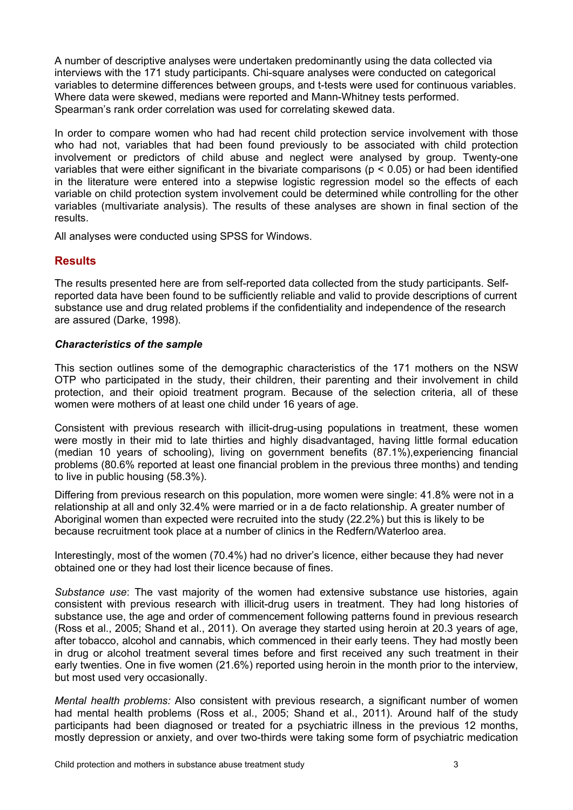A number of descriptive analyses were undertaken predominantly using the data collected via interviews with the 171 study participants. Chi-square analyses were conducted on categorical variables to determine differences between groups, and t-tests were used for continuous variables. Where data were skewed, medians were reported and Mann-Whitney tests performed. Spearman's rank order correlation was used for correlating skewed data.

In order to compare women who had had recent child protection service involvement with those who had not, variables that had been found previously to be associated with child protection involvement or predictors of child abuse and neglect were analysed by group. Twenty-one variables that were either significant in the bivariate comparisons ( $p < 0.05$ ) or had been identified in the literature were entered into a stepwise logistic regression model so the effects of each variable on child protection system involvement could be determined while controlling for the other variables (multivariate analysis). The results of these analyses are shown in final section of the results.

All analyses were conducted using SPSS for Windows.

# **Results**

The results presented here are from self-reported data collected from the study participants. Selfreported data have been found to be sufficiently reliable and valid to provide descriptions of current substance use and drug related problems if the confidentiality and independence of the research are assured (Darke, 1998).

## *Characteristics of the sample*

This section outlines some of the demographic characteristics of the 171 mothers on the NSW OTP who participated in the study, their children, their parenting and their involvement in child protection, and their opioid treatment program. Because of the selection criteria, all of these women were mothers of at least one child under 16 years of age.

Consistent with previous research with illicit-drug-using populations in treatment, these women were mostly in their mid to late thirties and highly disadvantaged, having little formal education (median 10 years of schooling), living on government benefits (87.1%),experiencing financial problems (80.6% reported at least one financial problem in the previous three months) and tending to live in public housing (58.3%).

Differing from previous research on this population, more women were single: 41.8% were not in a relationship at all and only 32.4% were married or in a de facto relationship. A greater number of Aboriginal women than expected were recruited into the study (22.2%) but this is likely to be because recruitment took place at a number of clinics in the Redfern/Waterloo area.

Interestingly, most of the women (70.4%) had no driver's licence, either because they had never obtained one or they had lost their licence because of fines.

*Substance use*: The vast majority of the women had extensive substance use histories, again consistent with previous research with illicit-drug users in treatment. They had long histories of substance use, the age and order of commencement following patterns found in previous research (Ross et al., 2005; Shand et al., 2011). On average they started using heroin at 20.3 years of age, after tobacco, alcohol and cannabis, which commenced in their early teens. They had mostly been in drug or alcohol treatment several times before and first received any such treatment in their early twenties. One in five women (21.6%) reported using heroin in the month prior to the interview, but most used very occasionally.

*Mental health problems:* Also consistent with previous research, a significant number of women had mental health problems (Ross et al., 2005; Shand et al., 2011). Around half of the study participants had been diagnosed or treated for a psychiatric illness in the previous 12 months, mostly depression or anxiety, and over two-thirds were taking some form of psychiatric medication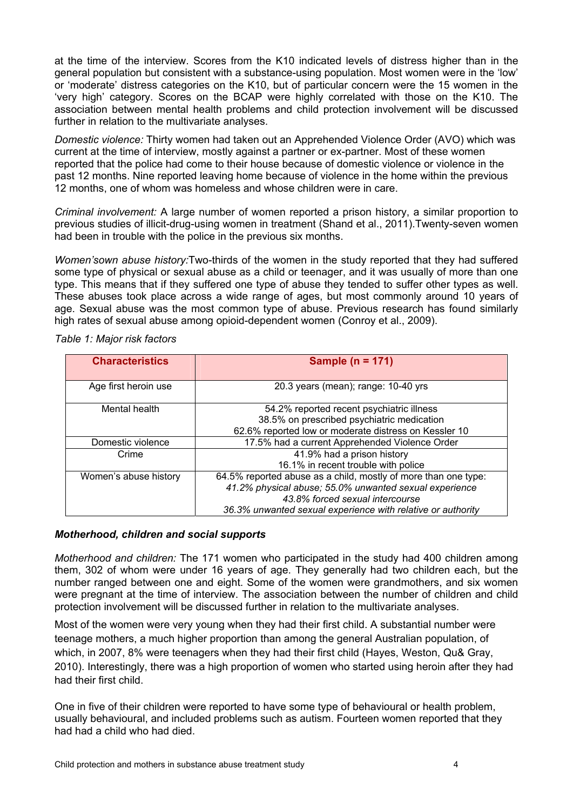at the time of the interview. Scores from the K10 indicated levels of distress higher than in the general population but consistent with a substance-using population. Most women were in the 'low' or 'moderate' distress categories on the K10, but of particular concern were the 15 women in the 'very high' category. Scores on the BCAP were highly correlated with those on the K10. The association between mental health problems and child protection involvement will be discussed further in relation to the multivariate analyses.

*Domestic violence:* Thirty women had taken out an Apprehended Violence Order (AVO) which was current at the time of interview, mostly against a partner or ex-partner. Most of these women reported that the police had come to their house because of domestic violence or violence in the past 12 months. Nine reported leaving home because of violence in the home within the previous 12 months, one of whom was homeless and whose children were in care.

*Criminal involvement:* A large number of women reported a prison history, a similar proportion to previous studies of illicit-drug-using women in treatment (Shand et al., 2011).Twenty-seven women had been in trouble with the police in the previous six months.

*Women'sown abuse history:*Two-thirds of the women in the study reported that they had suffered some type of physical or sexual abuse as a child or teenager, and it was usually of more than one type. This means that if they suffered one type of abuse they tended to suffer other types as well. These abuses took place across a wide range of ages, but most commonly around 10 years of age. Sexual abuse was the most common type of abuse. Previous research has found similarly high rates of sexual abuse among opioid-dependent women (Conroy et al., 2009).

| <b>Characteristics</b> | Sample ( $n = 171$ )                                           |  |
|------------------------|----------------------------------------------------------------|--|
| Age first heroin use   | 20.3 years (mean); range: 10-40 yrs                            |  |
| Mental health          | 54.2% reported recent psychiatric illness                      |  |
|                        | 38.5% on prescribed psychiatric medication                     |  |
|                        | 62.6% reported low or moderate distress on Kessler 10          |  |
| Domestic violence      | 17.5% had a current Apprehended Violence Order                 |  |
| Crime                  | 41.9% had a prison history                                     |  |
|                        | 16.1% in recent trouble with police                            |  |
| Women's abuse history  | 64.5% reported abuse as a child, mostly of more than one type: |  |
|                        | 41.2% physical abuse; 55.0% unwanted sexual experience         |  |
|                        | 43.8% forced sexual intercourse                                |  |
|                        | 36.3% unwanted sexual experience with relative or authority    |  |

*Table 1: Major risk factors*

## *Motherhood, children and social supports*

*Motherhood and children:* The 171 women who participated in the study had 400 children among them, 302 of whom were under 16 years of age. They generally had two children each, but the number ranged between one and eight. Some of the women were grandmothers, and six women were pregnant at the time of interview. The association between the number of children and child protection involvement will be discussed further in relation to the multivariate analyses.

Most of the women were very young when they had their first child. A substantial number were teenage mothers, a much higher proportion than among the general Australian population, of which, in 2007, 8% were teenagers when they had their first child (Hayes, Weston, Qu& Gray, 2010). Interestingly, there was a high proportion of women who started using heroin after they had had their first child.

One in five of their children were reported to have some type of behavioural or health problem, usually behavioural, and included problems such as autism. Fourteen women reported that they had had a child who had died.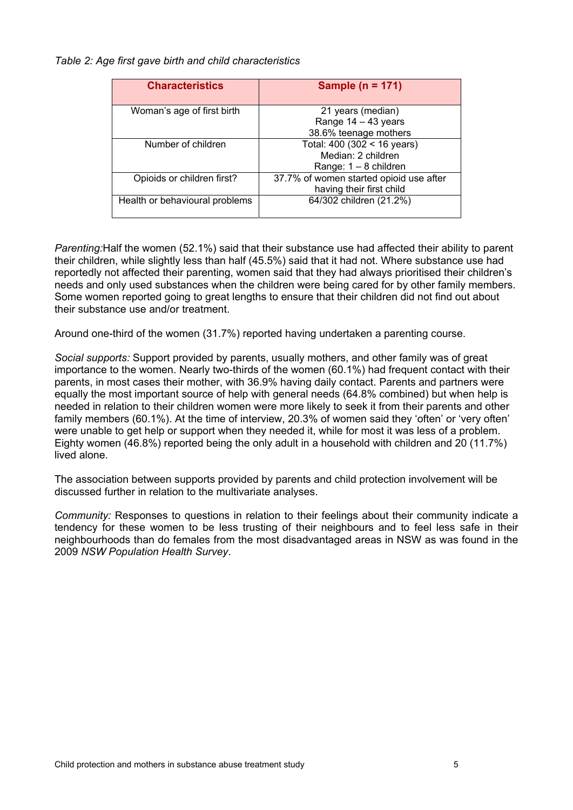#### *Table 2: Age first gave birth and child characteristics*

| <b>Characteristics</b>         | Sample ( $n = 171$ )                                                         |  |
|--------------------------------|------------------------------------------------------------------------------|--|
| Woman's age of first birth     | 21 years (median)<br>Range $14 - 43$ years<br>38.6% teenage mothers          |  |
| Number of children             | Total: 400 (302 < 16 years)<br>Median: 2 children<br>Range: $1 - 8$ children |  |
| Opioids or children first?     | 37.7% of women started opioid use after<br>having their first child          |  |
| Health or behavioural problems | 64/302 children (21.2%)                                                      |  |

*Parenting:*Half the women (52.1%) said that their substance use had affected their ability to parent their children, while slightly less than half (45.5%) said that it had not. Where substance use had reportedly not affected their parenting, women said that they had always prioritised their children's needs and only used substances when the children were being cared for by other family members. Some women reported going to great lengths to ensure that their children did not find out about their substance use and/or treatment.

Around one-third of the women (31.7%) reported having undertaken a parenting course.

*Social supports:* Support provided by parents, usually mothers, and other family was of great importance to the women. Nearly two-thirds of the women (60.1%) had frequent contact with their parents, in most cases their mother, with 36.9% having daily contact. Parents and partners were equally the most important source of help with general needs (64.8% combined) but when help is needed in relation to their children women were more likely to seek it from their parents and other family members (60.1%). At the time of interview, 20.3% of women said they 'often' or 'very often' were unable to get help or support when they needed it, while for most it was less of a problem. Eighty women (46.8%) reported being the only adult in a household with children and 20 (11.7%) lived alone.

The association between supports provided by parents and child protection involvement will be discussed further in relation to the multivariate analyses.

*Community:* Responses to questions in relation to their feelings about their community indicate a tendency for these women to be less trusting of their neighbours and to feel less safe in their neighbourhoods than do females from the most disadvantaged areas in NSW as was found in the 2009 *NSW Population Health Survey*.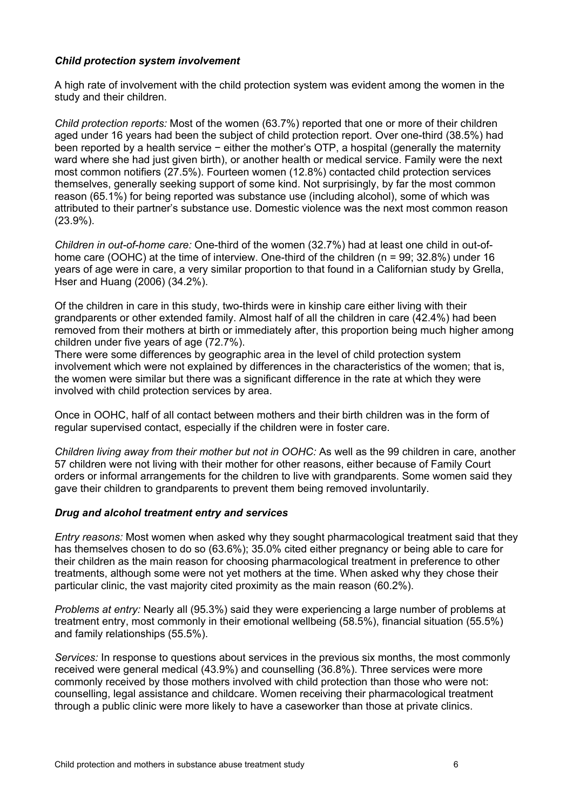## *Child protection system involvement*

A high rate of involvement with the child protection system was evident among the women in the study and their children.

*Child protection reports:* Most of the women (63.7%) reported that one or more of their children aged under 16 years had been the subject of child protection report. Over one-third (38.5%) had been reported by a health service − either the mother's OTP, a hospital (generally the maternity ward where she had just given birth), or another health or medical service. Family were the next most common notifiers (27.5%). Fourteen women (12.8%) contacted child protection services themselves, generally seeking support of some kind. Not surprisingly, by far the most common reason (65.1%) for being reported was substance use (including alcohol), some of which was attributed to their partner's substance use. Domestic violence was the next most common reason (23.9%).

*Children in out-of-home care:* One-third of the women (32.7%) had at least one child in out-ofhome care (OOHC) at the time of interview. One-third of the children (n = 99: 32.8%) under 16 years of age were in care, a very similar proportion to that found in a Californian study by Grella, Hser and Huang (2006) (34.2%).

Of the children in care in this study, two-thirds were in kinship care either living with their grandparents or other extended family. Almost half of all the children in care (42.4%) had been removed from their mothers at birth or immediately after, this proportion being much higher among children under five years of age (72.7%).

There were some differences by geographic area in the level of child protection system involvement which were not explained by differences in the characteristics of the women; that is, the women were similar but there was a significant difference in the rate at which they were involved with child protection services by area.

Once in OOHC, half of all contact between mothers and their birth children was in the form of regular supervised contact, especially if the children were in foster care.

*Children living away from their mother but not in OOHC:* As well as the 99 children in care, another 57 children were not living with their mother for other reasons, either because of Family Court orders or informal arrangements for the children to live with grandparents. Some women said they gave their children to grandparents to prevent them being removed involuntarily.

## *Drug and alcohol treatment entry and services*

*Entry reasons:* Most women when asked why they sought pharmacological treatment said that they has themselves chosen to do so (63.6%); 35.0% cited either pregnancy or being able to care for their children as the main reason for choosing pharmacological treatment in preference to other treatments, although some were not yet mothers at the time. When asked why they chose their particular clinic, the vast majority cited proximity as the main reason (60.2%).

*Problems at entry:* Nearly all (95.3%) said they were experiencing a large number of problems at treatment entry, most commonly in their emotional wellbeing (58.5%), financial situation (55.5%) and family relationships (55.5%).

*Services:* In response to questions about services in the previous six months, the most commonly received were general medical (43.9%) and counselling (36.8%). Three services were more commonly received by those mothers involved with child protection than those who were not: counselling, legal assistance and childcare. Women receiving their pharmacological treatment through a public clinic were more likely to have a caseworker than those at private clinics.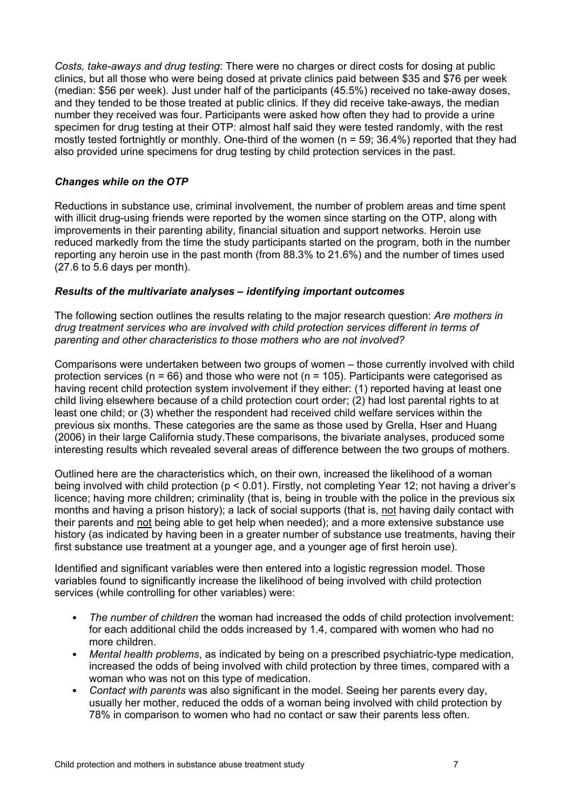*Costs, take-aways and drug testing*: There were no charges or direct costs for dosing at public clinics, but all those who were being dosed at private clinics paid between \$35 and \$76 per week (median: \$56 per week). Just under half of the participants (45.5%) received no take-away doses, and they tended to be those treated at public clinics. If they did receive take-aways, the median number they received was four. Participants were asked how often they had to provide a urine specimen for drug testing at their OTP: almost half said they were tested randomly, with the rest mostly tested fortnightly or monthly. One-third of the women (n = 59; 36.4%) reported that they had also provided urine specimens for drug testing by child protection services in the past.

## *Changes while on the OTP*

Reductions in substance use, criminal involvement, the number of problem areas and time spent with illicit drug-using friends were reported by the women since starting on the OTP, along with improvements in their parenting ability, financial situation and support networks. Heroin use reduced markedly from the time the study participants started on the program, both in the number reporting any heroin use in the past month (from 88.3% to 21.6%) and the number of times used (27.6 to 5.6 days per month).

#### *Results of the multivariate analyses – identifying important outcomes*

The following section outlines the results relating to the major research question: *Are mothers in drug treatment services who are involved with child protection services different in terms of parenting and other characteristics to those mothers who are not involved?*

Comparisons were undertaken between two groups of women – those currently involved with child protection services ( $n = 66$ ) and those who were not ( $n = 105$ ). Participants were categorised as having recent child protection system involvement if they either: (1) reported having at least one child living elsewhere because of a child protection court order; (2) had lost parental rights to at least one child; or (3) whether the respondent had received child welfare services within the previous six months. These categories are the same as those used by Grella, Hser and Huang (2006) in their large California study.These comparisons, the bivariate analyses, produced some interesting results which revealed several areas of difference between the two groups of mothers.

Outlined here are the characteristics which, on their own, increased the likelihood of a woman being involved with child protection (p < 0.01). Firstly, not completing Year 12; not having a driver's licence; having more children; criminality (that is, being in trouble with the police in the previous six months and having a prison history); a lack of social supports (that is, not having daily contact with their parents and not being able to get help when needed); and a more extensive substance use history (as indicated by having been in a greater number of substance use treatments, having their first substance use treatment at a younger age, and a younger age of first heroin use).

Identified and significant variables were then entered into a logistic regression model. Those variables found to significantly increase the likelihood of being involved with child protection services (while controlling for other variables) were:

- *The number of children* the woman had increased the odds of child protection involvement: for each additional child the odds increased by 1.4, compared with women who had no more children.
- *Mental health problems*, as indicated by being on a prescribed psychiatric-type medication, increased the odds of being involved with child protection by three times, compared with a woman who was not on this type of medication.
- *Contact with parents* was also significant in the model. Seeing her parents every day, usually her mother, reduced the odds of a woman being involved with child protection by 78% in comparison to women who had no contact or saw their parents less often.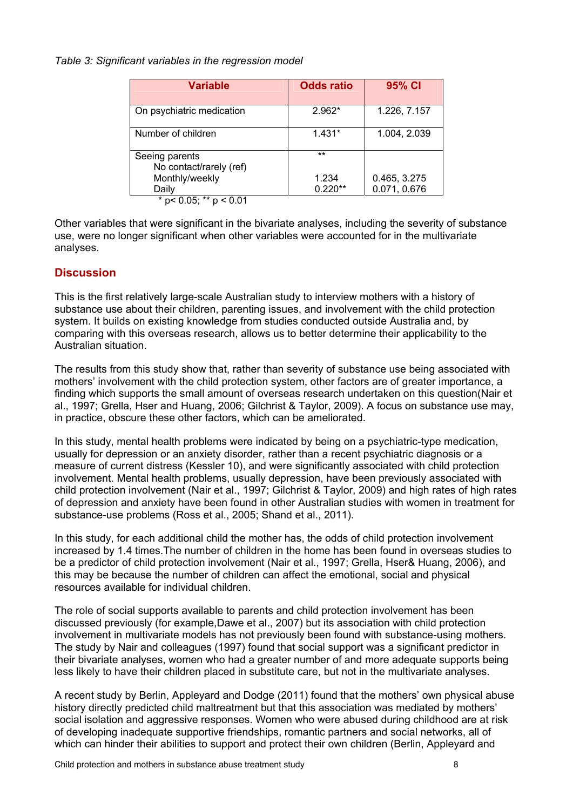#### *Table 3: Significant variables in the regression model*

| Variable                                                    | <b>Odds ratio</b> | 95% CI       |
|-------------------------------------------------------------|-------------------|--------------|
| On psychiatric medication                                   | $2.962*$          | 1.226, 7.157 |
| Number of children                                          | $1.431*$          | 1.004, 2.039 |
| Seeing parents<br>No contact/rarely (ref)<br>Monthly/weekly | $***$<br>1.234    | 0.465, 3.275 |
| Daily<br>$p < 0.05$ ; ** $p < 0.01$                         | $0.220**$         | 0.071, 0.676 |

Other variables that were significant in the bivariate analyses, including the severity of substance use, were no longer significant when other variables were accounted for in the multivariate analyses.

# **Discussion**

This is the first relatively large-scale Australian study to interview mothers with a history of substance use about their children, parenting issues, and involvement with the child protection system. It builds on existing knowledge from studies conducted outside Australia and, by comparing with this overseas research, allows us to better determine their applicability to the Australian situation.

The results from this study show that, rather than severity of substance use being associated with mothers' involvement with the child protection system, other factors are of greater importance, a finding which supports the small amount of overseas research undertaken on this question(Nair et al., 1997; Grella, Hser and Huang, 2006; Gilchrist & Taylor, 2009). A focus on substance use may, in practice, obscure these other factors, which can be ameliorated.

In this study, mental health problems were indicated by being on a psychiatric-type medication, usually for depression or an anxiety disorder, rather than a recent psychiatric diagnosis or a measure of current distress (Kessler 10), and were significantly associated with child protection involvement. Mental health problems, usually depression, have been previously associated with child protection involvement (Nair et al., 1997; Gilchrist & Taylor, 2009) and high rates of high rates of depression and anxiety have been found in other Australian studies with women in treatment for substance-use problems (Ross et al., 2005; Shand et al., 2011).

In this study, for each additional child the mother has, the odds of child protection involvement increased by 1.4 times.The number of children in the home has been found in overseas studies to be a predictor of child protection involvement (Nair et al., 1997; Grella, Hser& Huang, 2006), and this may be because the number of children can affect the emotional, social and physical resources available for individual children.

The role of social supports available to parents and child protection involvement has been discussed previously (for example,Dawe et al., 2007) but its association with child protection involvement in multivariate models has not previously been found with substance-using mothers. The study by Nair and colleagues (1997) found that social support was a significant predictor in their bivariate analyses, women who had a greater number of and more adequate supports being less likely to have their children placed in substitute care, but not in the multivariate analyses.

A recent study by Berlin, Appleyard and Dodge (2011) found that the mothers' own physical abuse history directly predicted child maltreatment but that this association was mediated by mothers' social isolation and aggressive responses. Women who were abused during childhood are at risk of developing inadequate supportive friendships, romantic partners and social networks, all of which can hinder their abilities to support and protect their own children (Berlin, Appleyard and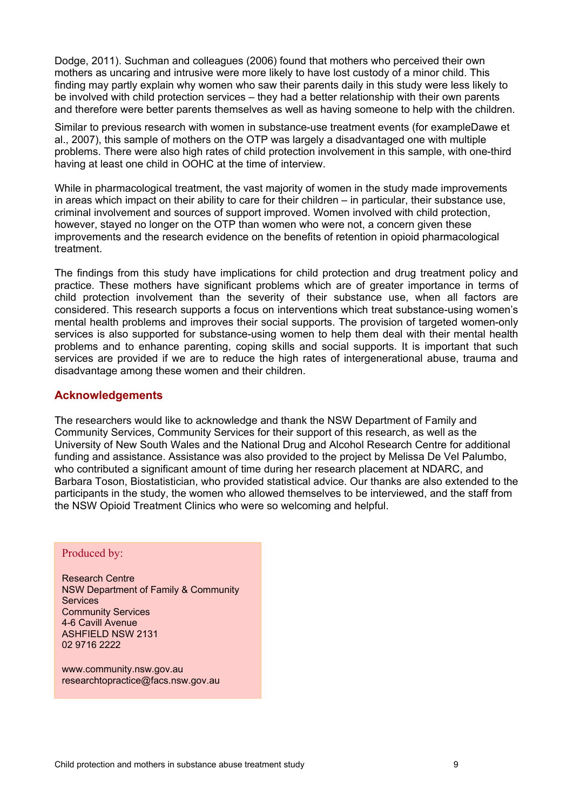Dodge, 2011). Suchman and colleagues (2006) found that mothers who perceived their own mothers as uncaring and intrusive were more likely to have lost custody of a minor child. This finding may partly explain why women who saw their parents daily in this study were less likely to be involved with child protection services – they had a better relationship with their own parents and therefore were better parents themselves as well as having someone to help with the children.

Similar to previous research with women in substance-use treatment events (for exampleDawe et al., 2007), this sample of mothers on the OTP was largely a disadvantaged one with multiple problems. There were also high rates of child protection involvement in this sample, with one-third having at least one child in OOHC at the time of interview.

While in pharmacological treatment, the vast majority of women in the study made improvements in areas which impact on their ability to care for their children – in particular, their substance use, criminal involvement and sources of support improved. Women involved with child protection, however, stayed no longer on the OTP than women who were not, a concern given these improvements and the research evidence on the benefits of retention in opioid pharmacological treatment.

The findings from this study have implications for child protection and drug treatment policy and practice. These mothers have significant problems which are of greater importance in terms of child protection involvement than the severity of their substance use, when all factors are considered. This research supports a focus on interventions which treat substance-using women's mental health problems and improves their social supports. The provision of targeted women-only services is also supported for substance-using women to help them deal with their mental health problems and to enhance parenting, coping skills and social supports. It is important that such services are provided if we are to reduce the high rates of intergenerational abuse, trauma and disadvantage among these women and their children.

# **Acknowledgements**

The researchers would like to acknowledge and thank the NSW Department of Family and Community Services, Community Services for their support of this research, as well as the University of New South Wales and the National Drug and Alcohol Research Centre for additional funding and assistance. Assistance was also provided to the project by Melissa De Vel Palumbo, who contributed a significant amount of time during her research placement at NDARC, and Barbara Toson, Biostatistician, who provided statistical advice. Our thanks are also extended to the participants in the study, the women who allowed themselves to be interviewed, and the staff from the NSW Opioid Treatment Clinics who were so welcoming and helpful.

#### Produced by:

Research Centre NSW Department of Family & Community **Services** Community Services 4-6 Cavill Avenue ASHFIELD NSW 2131 02 9716 2222

www.community.nsw.gov.au researchtopractice@facs.nsw.gov.au